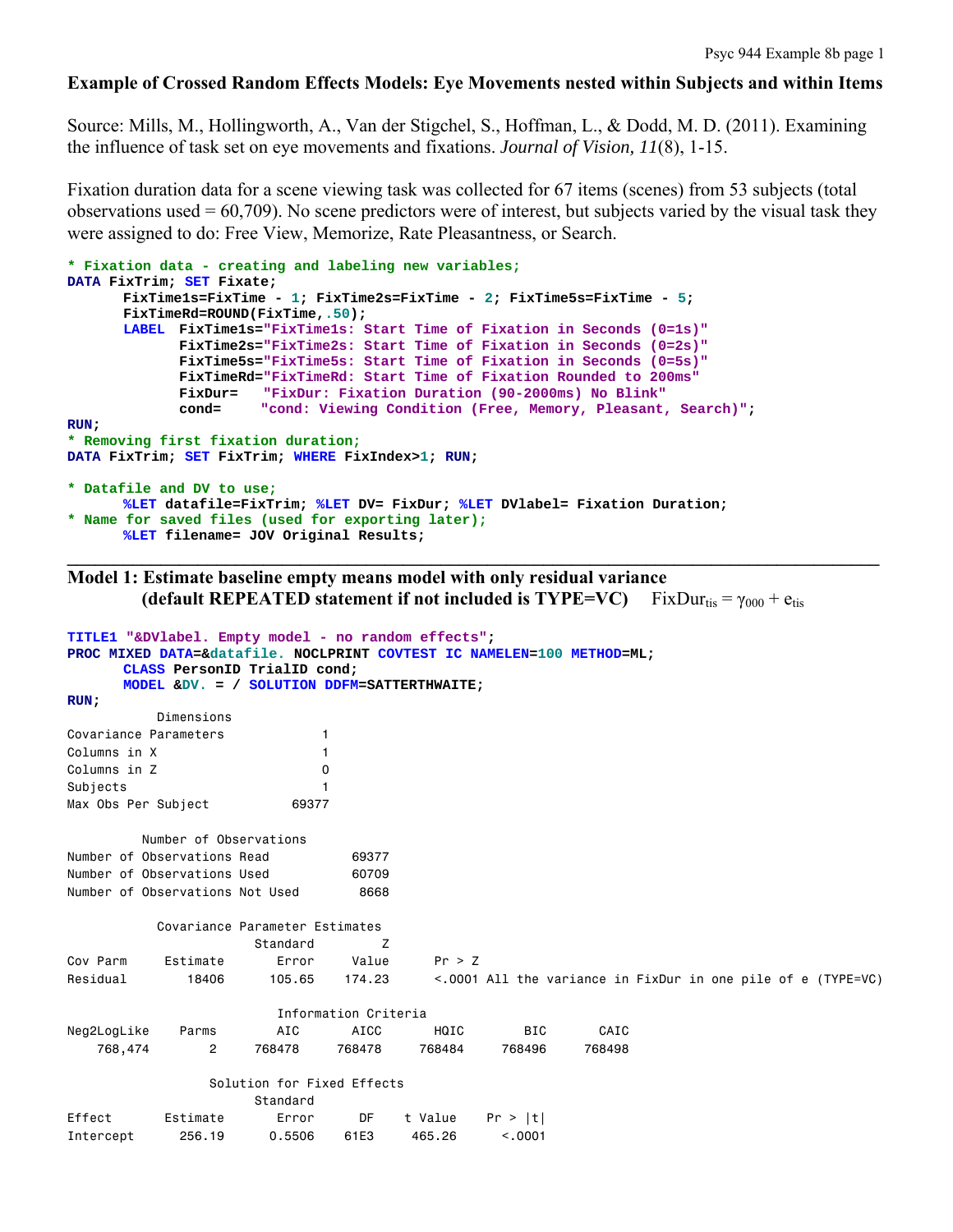#### **Example of Crossed Random Effects Models: Eye Movements nested within Subjects and within Items**

Source: Mills, M., Hollingworth, A., Van der Stigchel, S., Hoffman, L., & Dodd, M. D. (2011). Examining the influence of task set on eye movements and fixations. *Journal of Vision, 11*(8), 1-15.

Fixation duration data for a scene viewing task was collected for 67 items (scenes) from 53 subjects (total observations used  $= 60,709$ ). No scene predictors were of interest, but subjects varied by the visual task they were assigned to do: Free View, Memorize, Rate Pleasantness, or Search.

```
* Fixation data - creating and labeling new variables;
DATA FixTrim; SET Fixate; 
       FixTime1s=FixTime - 1; FixTime2s=FixTime - 2; FixTime5s=FixTime - 5; 
      FixTimeRd=ROUND(FixTime,.50); 
      LABEL FixTime1s="FixTime1s: Start Time of Fixation in Seconds (0=1s)"
              FixTime2s="FixTime2s: Start Time of Fixation in Seconds (0=2s)"
              FixTime5s="FixTime5s: Start Time of Fixation in Seconds (0=5s)" 
              FixTimeRd="FixTimeRd: Start Time of Fixation Rounded to 200ms"
              FixDur= "FixDur: Fixation Duration (90-2000ms) No Blink"
             cond= "cond: Viewing Condition (Free, Memory, Pleasant, Search)"; 
RUN; 
* Removing first fixation duration;
DATA FixTrim; SET FixTrim; WHERE FixIndex>1; RUN; 
* Datafile and DV to use;
      %LET datafile=FixTrim; %LET DV= FixDur; %LET DVlabel= Fixation Duration; 
* Name for saved files (used for exporting later); 
      %LET filename= JOV Original Results;
```
**Model 1: Estimate baseline empty means model with only residual variance (default REPEATED statement if not included is TYPE=VC)**  $FixDur_{tis} = \gamma_{000} + e_{tis}$ 

 $\mathcal{L}_\mathcal{L} = \{ \mathcal{L}_\mathcal{L} = \{ \mathcal{L}_\mathcal{L} = \{ \mathcal{L}_\mathcal{L} = \{ \mathcal{L}_\mathcal{L} = \{ \mathcal{L}_\mathcal{L} = \{ \mathcal{L}_\mathcal{L} = \{ \mathcal{L}_\mathcal{L} = \{ \mathcal{L}_\mathcal{L} = \{ \mathcal{L}_\mathcal{L} = \{ \mathcal{L}_\mathcal{L} = \{ \mathcal{L}_\mathcal{L} = \{ \mathcal{L}_\mathcal{L} = \{ \mathcal{L}_\mathcal{L} = \{ \mathcal{L}_\mathcal{$ 

```
TITLE1 "&DVlabel. Empty model - no random effects"; 
PROC MIXED DATA=&datafile. NOCLPRINT COVTEST IC NAMELEN=100 METHOD=ML; 
     CLASS PersonID TrialID cond; 
     MODEL &DV. = / SOLUTION DDFM=SATTERTHWAITE; 
RUN;
          Dimensions 
Covariance Parameters 1 
Columns in X 1
Columns in Z 0
Subjects 1
Max Obs Per Subject 69377
        Number of Observations 
Number of Observations Read 69377
Number of Observations Used 60709
Number of Observations Not Used 8668
          Covariance Parameter Estimates 
                   Standard Z 
Cov Parm Estimate Error Value Pr > Z 
Residual 18406 105.65 174.23 < 0001 All the variance in FixDur in one pile of e (TYPE=VC)
                      Information Criteria 
Neg2LogLike Parms AIC AICC HQIC BIC CAIC 
   768,474 2 768478 768478 768484 768496 768498 
               Solution for Fixed Effects 
                   Standard 
Effect Estimate Error DF t Value Pr > |t| 
Intercept 256.19 0.5506 61E3 465.26 <.0001
```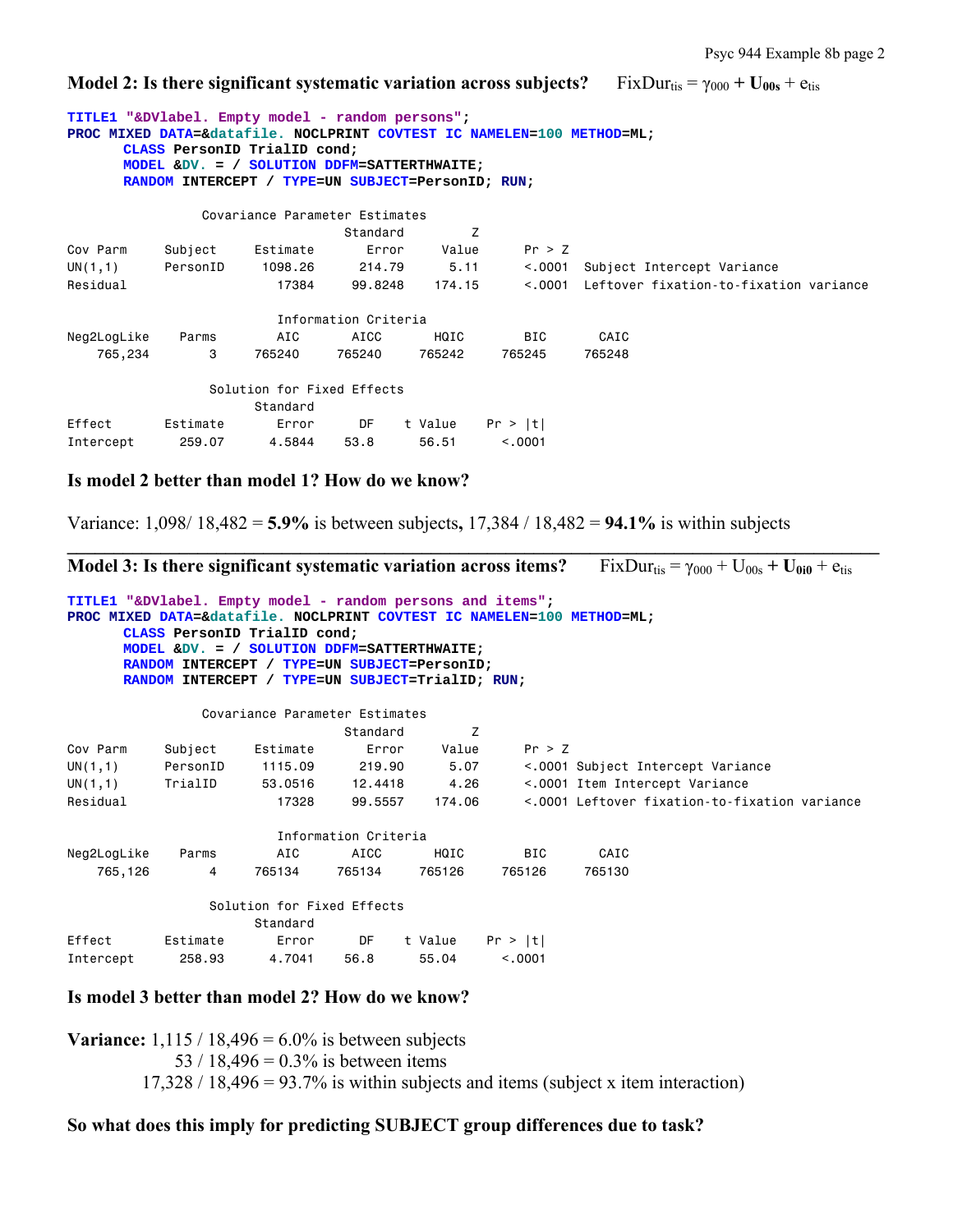**Model 2: Is there significant systematic variation across subjects?** FixDur<sub>tis</sub> =  $\gamma_{000}$  + U<sub>00s</sub> + e<sub>tis</sub>

| TITLE1 "&DVlabel. Empty model - random persons"; |          | CLASS PersonID TrialID cond;<br>MODEL & DV. = / SOLUTION DDFM=SATTERTHWAITE;<br>RANDOM INTERCEPT / TYPE=UN SUBJECT=PersonID; RUN; |                      |         | PROC MIXED DATA=&datafile. NOCLPRINT COVTEST IC NAMELEN=100 METHOD=ML; |                                        |
|--------------------------------------------------|----------|-----------------------------------------------------------------------------------------------------------------------------------|----------------------|---------|------------------------------------------------------------------------|----------------------------------------|
|                                                  |          | Covariance Parameter Estimates                                                                                                    |                      |         |                                                                        |                                        |
|                                                  |          |                                                                                                                                   | Standard             | Z       |                                                                        |                                        |
| Cov Parm                                         | Subject  | Estimate                                                                                                                          | Error                | Value   | Pr > Z                                                                 |                                        |
| UN(1,1)                                          | PersonID | 1098.26                                                                                                                           | 214.79               | 5.11    | < .0001                                                                | Subject Intercept Variance             |
| Residual                                         |          | 17384                                                                                                                             | 99.8248              | 174.15  | < 0.001                                                                | Leftover fixation-to-fixation variance |
|                                                  |          |                                                                                                                                   | Information Criteria |         |                                                                        |                                        |
| Neg2LogLike                                      | Parms    | AIC                                                                                                                               | AICC                 | HQIC    | <b>BIC</b>                                                             | CAIC                                   |
| 765,234                                          | 3        | 765240                                                                                                                            | 765240               | 765242  | 765245                                                                 | 765248                                 |
|                                                  |          | Solution for Fixed Effects                                                                                                        |                      |         |                                                                        |                                        |
|                                                  |          | Standard                                                                                                                          |                      |         |                                                                        |                                        |
| Effect                                           | Estimate | Error                                                                                                                             | DF                   | t Value | Pr >  t                                                                |                                        |
| Intercept                                        | 259.07   | 4.5844                                                                                                                            | 53.8                 | 56.51   | < 0.0001                                                               |                                        |

#### **Is model 2 better than model 1? How do we know?**

Variance: 1,098/ 18,482 = **5.9%** is between subjects**,** 17,384 / 18,482 = **94.1%** is within subjects

**\_\_\_\_\_\_\_\_\_\_\_\_\_\_\_\_\_\_\_\_\_\_\_\_\_\_\_\_\_\_\_\_\_\_\_\_\_\_\_\_\_\_\_\_\_\_\_\_\_\_\_\_\_\_\_\_\_\_\_\_\_\_\_\_\_\_\_\_\_\_\_\_\_\_\_\_\_\_\_\_\_\_\_\_\_\_\_** 

|                                                                                                                                      |          |                                                                                                                                                                                  |                      |         |            |        | <b>Model 3:</b> Is there significant systematic variation across items? FixDur <sub>tis</sub> = $\gamma_{000}$ + U <sub>00s</sub> + U <sub>0i0</sub> + e <sub>tis</sub> |  |
|--------------------------------------------------------------------------------------------------------------------------------------|----------|----------------------------------------------------------------------------------------------------------------------------------------------------------------------------------|----------------------|---------|------------|--------|-------------------------------------------------------------------------------------------------------------------------------------------------------------------------|--|
| TITLE1 "&DVlabel. Empty model - random persons and items";<br>PROC MIXED DATA=&datafile. NOCLPRINT COVTEST IC NAMELEN=100 METHOD=ML; |          | CLASS PersonID TrialID cond;<br>MODEL & DV. = / SOLUTION DDFM=SATTERTHWAITE;<br>RANDOM INTERCEPT / TYPE=UN SUBJECT=PersonID;<br>RANDOM INTERCEPT / TYPE=UN SUBJECT=TrialID; RUN; |                      |         |            |        |                                                                                                                                                                         |  |
|                                                                                                                                      |          | Covariance Parameter Estimates                                                                                                                                                   |                      |         |            |        |                                                                                                                                                                         |  |
|                                                                                                                                      |          |                                                                                                                                                                                  | Standard             | z       |            |        |                                                                                                                                                                         |  |
| Cov Parm                                                                                                                             | Subject  | Estimate                                                                                                                                                                         | Error                | Value   | Pr > Z     |        |                                                                                                                                                                         |  |
| UN(1,1)                                                                                                                              | PersonID | 1115.09                                                                                                                                                                          | 219,90               | 5.07    |            |        | <.0001 Subject Intercept Variance                                                                                                                                       |  |
| UN(1,1)                                                                                                                              | TrialID  | 53,0516                                                                                                                                                                          | 12,4418              | 4.26    |            |        | <.0001 Item Intercept Variance                                                                                                                                          |  |
| Residual                                                                                                                             |          | 17328                                                                                                                                                                            | 99.5557              | 174,06  |            |        | <.0001 Leftover fixation-to-fixation variance                                                                                                                           |  |
|                                                                                                                                      |          |                                                                                                                                                                                  | Information Criteria |         |            |        |                                                                                                                                                                         |  |
| Neg2LogLike                                                                                                                          | Parms    | AIC                                                                                                                                                                              | AICC                 | HQIC    | <b>BIC</b> | CAIC   |                                                                                                                                                                         |  |
| 765,126                                                                                                                              | 4        | 765134                                                                                                                                                                           | 765134               | 765126  | 765126     | 765130 |                                                                                                                                                                         |  |
|                                                                                                                                      |          | Solution for Fixed Effects                                                                                                                                                       |                      |         |            |        |                                                                                                                                                                         |  |
|                                                                                                                                      |          | Standard                                                                                                                                                                         |                      |         |            |        |                                                                                                                                                                         |  |
| Effect                                                                                                                               | Estimate | Error                                                                                                                                                                            | DF                   | t Value | Pr >  t    |        |                                                                                                                                                                         |  |
| Intercept                                                                                                                            | 258,93   | 4.7041                                                                                                                                                                           | 56.8                 | 55.04   | < 0.001    |        |                                                                                                                                                                         |  |

#### **Is model 3 better than model 2? How do we know?**

**Variance:** 1,115 / 18,496 =  $6.0\%$  is between subjects 53 / 18,496 =  $0.3\%$  is between items  $17,328 / 18,496 = 93.7\%$  is within subjects and items (subject x item interaction)

# **So what does this imply for predicting SUBJECT group differences due to task?**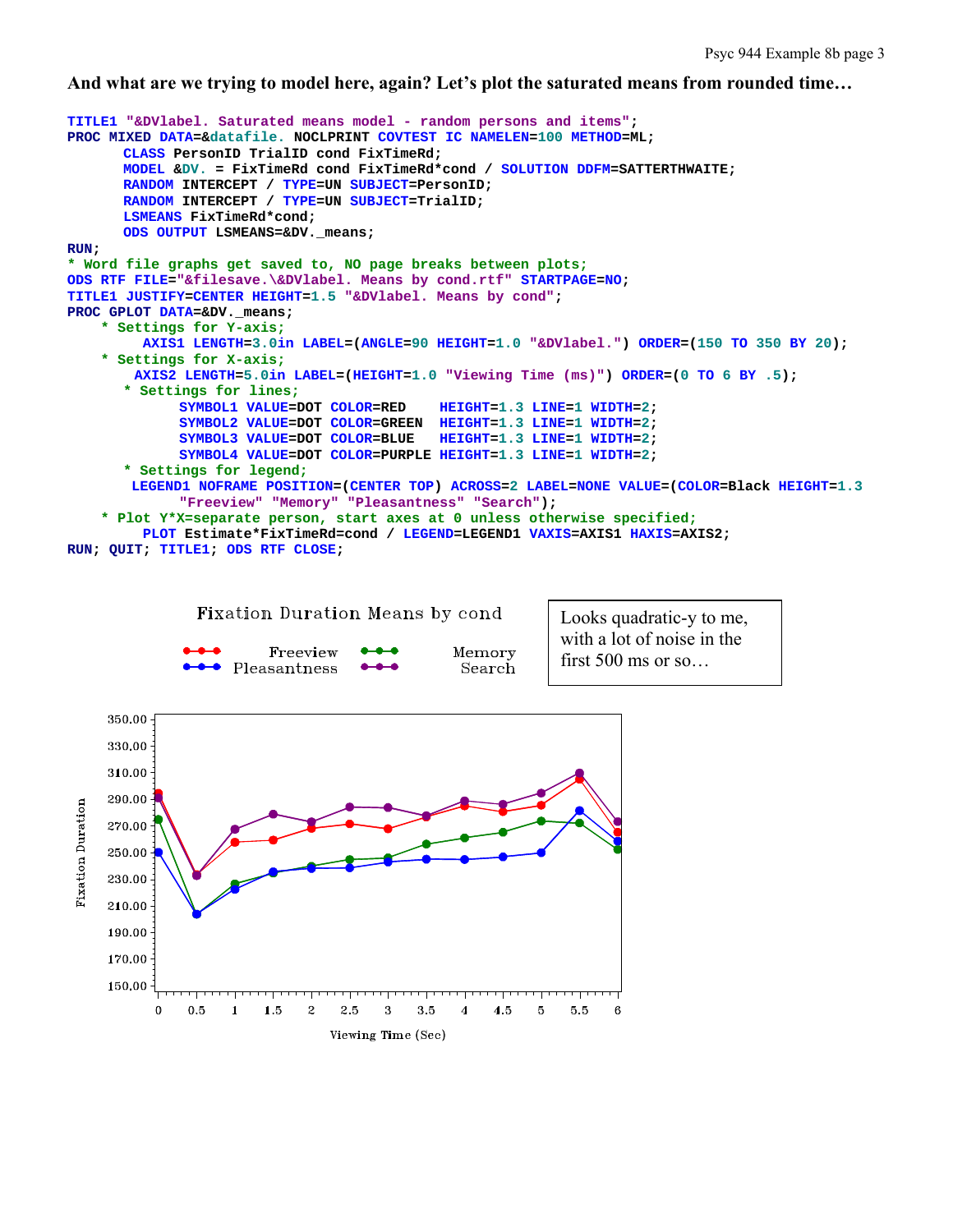**And what are we trying to model here, again? Let's plot the saturated means from rounded time…** 



 $\mathbf 0$ 

 $\mathbf{1}$ 

2

3

Viewing Time (Sec)

5

5.5

6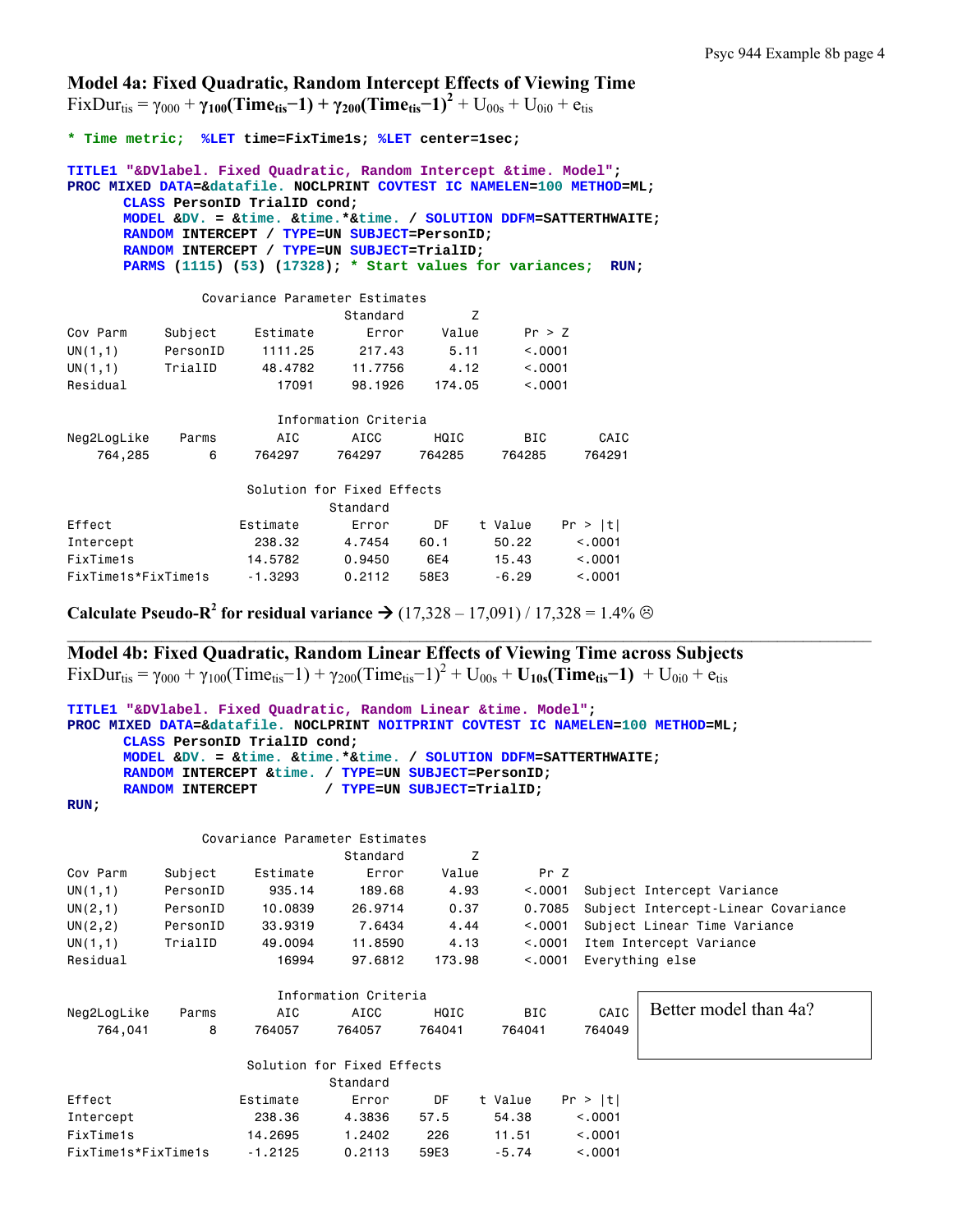**Model 4a: Fixed Quadratic, Random Intercept Effects of Viewing Time** 

 $\text{Fix} \text{Dur}_{\text{tis}} = \gamma_{000} + \gamma_{100} (\text{Time}_{\text{tis}} - 1) + \gamma_{200} (\text{Time}_{\text{tis}} - 1)^2 + \text{U}_{00s} + \text{U}_{0i0} + \text{e}_{\text{tis}}$ 

**\* Time metric; %LET time=FixTime1s; %LET center=1sec; TITLE1 "&DVlabel. Fixed Quadratic, Random Intercept &time. Model"; PROC MIXED DATA=&datafile. NOCLPRINT COVTEST IC NAMELEN=100 METHOD=ML; CLASS PersonID TrialID cond; MODEL &DV. = &time. &time.\*&time. / SOLUTION DDFM=SATTERTHWAITE; RANDOM INTERCEPT / TYPE=UN SUBJECT=PersonID; RANDOM INTERCEPT / TYPE=UN SUBJECT=TrialID; PARMS (1115) (53) (17328); \* Start values for variances; RUN;**  Covariance Parameter Estimates Standard Z Cov Parm Subject Estimate Error Value Pr > Z UN(1,1) PersonID 1111.25 217.43 5.11 <.0001 UN(1,1) TrialID 48.4782 11.7756 4.12 <.0001 Residual 17091 98.1926 174.05 <.0001 Information Criteria Neg2LogLike Parms AIC AICC HQIC BIC CAIC 764,285 6 764297 764297 764285 764285 764291 Solution for Fixed Effects Standard Effect Estimate Error DF t Value Pr > |t| Intercept 238.32 4.7454 60.1 50.22 <.0001 FixTime1s 14.5782 0.9450 6E4 15.43 <.0001 FixTime1s\*FixTime1s -1.3293 0.2112 58E3 -6.29 <.0001

**Calculate Pseudo-R<sup>2</sup> for residual variance**  $\rightarrow$  **(17,328 – 17,091) / 17,328 = 1.4%**  $\odot$ 

**Model 4b: Fixed Quadratic, Random Linear Effects of Viewing Time across Subjects**   $FixDur_{\text{tis}} = \gamma_{000} + \gamma_{100} (Time_{\text{tis}} - 1) + \gamma_{200} (Time_{\text{tis}} - 1)^2 + U_{00s} + U_{10s} (Time_{\text{tis}} - 1) + U_{0i0} + e_{\text{tis}}$ 

```
TITLE1 "&DVlabel. Fixed Quadratic, Random Linear &time. Model"; 
PROC MIXED DATA=&datafile. NOCLPRINT NOITPRINT COVTEST IC NAMELEN=100 METHOD=ML; 
      CLASS PersonID TrialID cond; 
      MODEL &DV. = &time. &time.*&time. / SOLUTION DDFM=SATTERTHWAITE; 
      RANDOM INTERCEPT &time. / TYPE=UN SUBJECT=PersonID; 
      RANDOM INTERCEPT / TYPE=UN SUBJECT=TrialID; 
RUN;
```

|          |          |          | Covariance Parameter Estimates |        |          |                                     |
|----------|----------|----------|--------------------------------|--------|----------|-------------------------------------|
|          |          |          | Standard                       |        |          |                                     |
| Cov Parm | Subject  | Estimate | Error                          | Value  | Pr 7     |                                     |
| UN(1,1)  | PersonID | 935.14   | 189,68                         | 4.93   | < 0.0001 | Subject Intercept Variance          |
| UN(2,1)  | PersonID | 10,0839  | 26,9714                        | 0.37   | 0.7085   | Subject Intercept-Linear Covariance |
| UN(2, 2) | PersonID | 33,9319  | 7.6434                         | 4.44   | < 0.001  | Subject Linear Time Variance        |
| UN(1,1)  | TrialID  | 49,0094  | 11,8590                        | 4.13   | < 0.001  | Item Intercept Variance             |
| Residual |          | 16994    | 97.6812                        | 173.98 | < 0.001  | Everything else                     |

 $\mathcal{L}_\mathcal{L} = \{ \mathcal{L}_\mathcal{L} = \{ \mathcal{L}_\mathcal{L} = \{ \mathcal{L}_\mathcal{L} = \{ \mathcal{L}_\mathcal{L} = \{ \mathcal{L}_\mathcal{L} = \{ \mathcal{L}_\mathcal{L} = \{ \mathcal{L}_\mathcal{L} = \{ \mathcal{L}_\mathcal{L} = \{ \mathcal{L}_\mathcal{L} = \{ \mathcal{L}_\mathcal{L} = \{ \mathcal{L}_\mathcal{L} = \{ \mathcal{L}_\mathcal{L} = \{ \mathcal{L}_\mathcal{L} = \{ \mathcal{L}_\mathcal{$ 

|                     |       |           | Information Criteria       |        |            |             |                       |
|---------------------|-------|-----------|----------------------------|--------|------------|-------------|-----------------------|
| Neg2LogLike         | Parms | AIC       | AICC                       | HQIC   | <b>BIC</b> | CAIC        | Better model than 4a? |
| 764.041             | 8     | 764057    | 764057                     | 764041 | 764041     | 764049      |                       |
|                     |       |           | Solution for Fixed Effects |        |            |             |                       |
|                     |       |           | Standard                   |        |            |             |                       |
| Effect              |       | Estimate  | Error                      | DF     | t Value    | Pr >  t     |                       |
| Intercept           |       | 238,36    | 4.3836                     | 57.5   | 54.38      | < 0.001     |                       |
| FixTime1s           |       | 14,2695   | 1,2402                     | 226    | 11.51      | < 0.001     |                       |
| FiyTime1s*FiyTime1s |       | $-1$ 2125 | 0 2113                     | 59F3   | $-5, 74$   | $\leq$ 0001 |                       |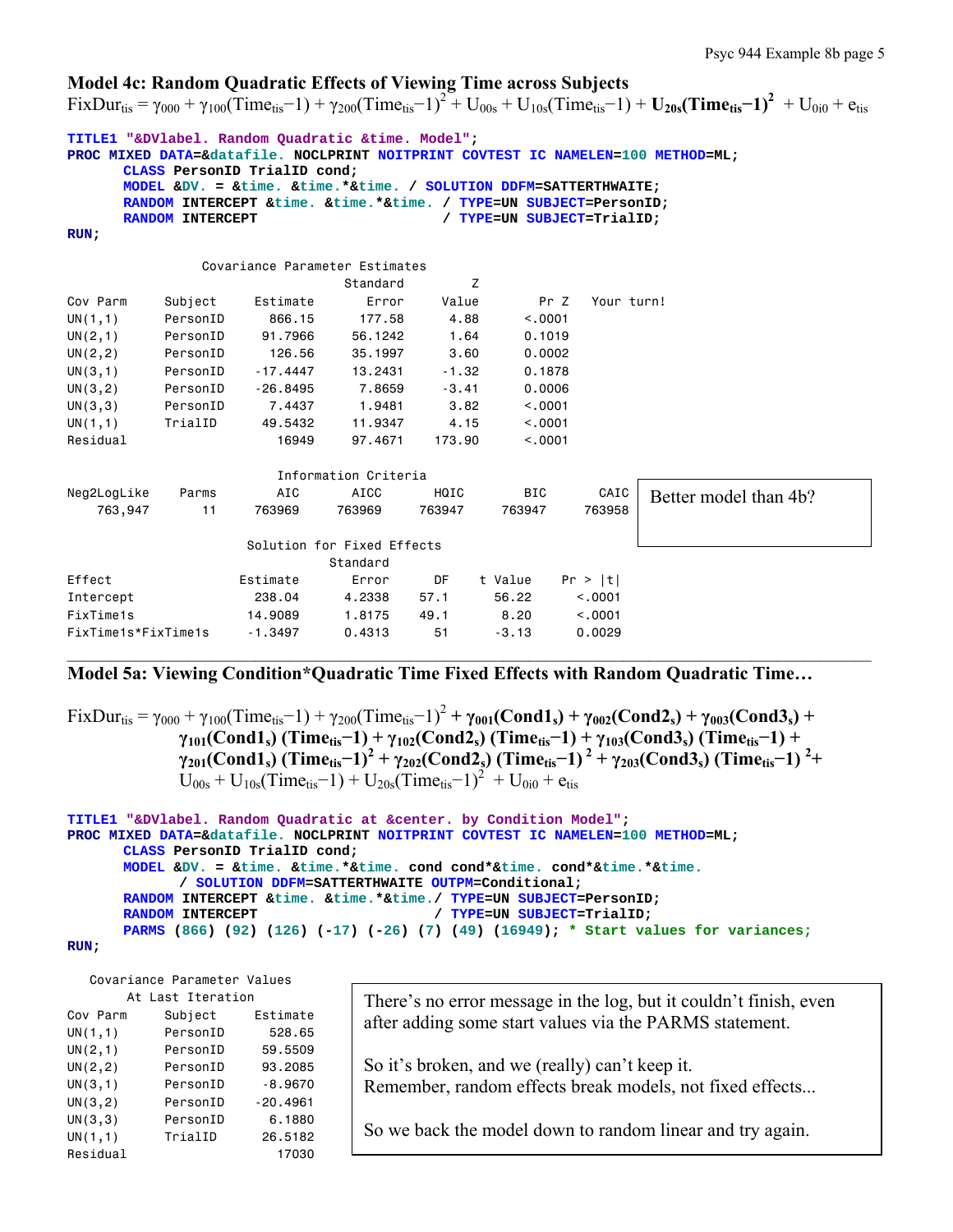## **Model 4c: Random Quadratic Effects of Viewing Time across Subjects**

 $FixDur_{\text{tis}} = \gamma_{000} + \gamma_{100} (Time_{\text{tis}} - 1) + \gamma_{200} (Time_{\text{tis}} - 1)^2 + U_{00s} + U_{10s} (Time_{\text{tis}} - 1) + U_{20s} (Time_{\text{tis}} - 1)^2 + U_{0i0} + e_{\text{tis}}$ 

|                                                                                  |                         | TITLE1 "&DVlabel. Random Ouadratic &time. Model":                      |                            |         |                            |            |                       |  |
|----------------------------------------------------------------------------------|-------------------------|------------------------------------------------------------------------|----------------------------|---------|----------------------------|------------|-----------------------|--|
| PROC MIXED DATA=&datafile. NOCLPRINT NOITPRINT COVTEST IC NAMELEN=100 METHOD=ML; |                         |                                                                        |                            |         |                            |            |                       |  |
|                                                                                  |                         | CLASS PersonID TrialID cond;                                           |                            |         |                            |            |                       |  |
|                                                                                  |                         | MODEL &DV. = &time. &time. *&time. / SOLUTION DDFM=SATTERTHWAITE;      |                            |         |                            |            |                       |  |
|                                                                                  | <b>RANDOM INTERCEPT</b> | RANDOM INTERCEPT & time. & time. * & time. / TYPE=UN SUBJECT=PersonID; |                            |         | / TYPE=UN SUBJECT=TrialID; |            |                       |  |
| RUN:                                                                             |                         |                                                                        |                            |         |                            |            |                       |  |
|                                                                                  |                         |                                                                        |                            |         |                            |            |                       |  |
|                                                                                  |                         | Covariance Parameter Estimates                                         |                            |         |                            |            |                       |  |
|                                                                                  |                         |                                                                        | Standard                   | Z       |                            |            |                       |  |
| Cov Parm                                                                         | Subject                 | Estimate                                                               | Error                      | Value   | Pr Z                       | Your turn! |                       |  |
| UN(1,1)                                                                          | PersonID                | 866.15                                                                 | 177.58                     | 4.88    | < 0.001                    |            |                       |  |
| UN(2,1)                                                                          | PersonID                | 91.7966                                                                | 56.1242                    | 1.64    | 0.1019                     |            |                       |  |
| UN(2, 2)                                                                         | PersonID                | 126.56                                                                 | 35,1997                    | 3.60    | 0.0002                     |            |                       |  |
| UN(3,1)                                                                          | PersonID                | $-17.4447$                                                             | 13,2431                    | $-1.32$ | 0.1878                     |            |                       |  |
| UN(3, 2)                                                                         | PersonID                | $-26.8495$                                                             | 7.8659                     | $-3.41$ | 0.0006                     |            |                       |  |
| UN(3,3)                                                                          | PersonID                | 7.4437                                                                 | 1.9481                     | 3.82    | < .0001                    |            |                       |  |
| UN(1,1)                                                                          | TrialID                 | 49,5432                                                                | 11,9347                    | 4.15    | < 0.001                    |            |                       |  |
| Residual                                                                         |                         | 16949                                                                  | 97.4671                    | 173.90  | < 0.001                    |            |                       |  |
|                                                                                  |                         |                                                                        |                            |         |                            |            |                       |  |
|                                                                                  |                         |                                                                        | Information Criteria       |         |                            |            |                       |  |
| Neg2LogLike                                                                      | Parms                   | AIC                                                                    | AICC                       | HQIC    | <b>BIC</b>                 | CAIC       | Better model than 4b? |  |
| 763,947                                                                          | 11                      | 763969                                                                 | 763969                     | 763947  | 763947                     | 763958     |                       |  |
|                                                                                  |                         |                                                                        | Solution for Fixed Effects |         |                            |            |                       |  |
|                                                                                  |                         |                                                                        | Standard                   |         |                            |            |                       |  |
| Effect                                                                           |                         | Estimate                                                               | Error                      | DF      | t Value                    | Pr >  t    |                       |  |
| Intercept                                                                        |                         | 238,04                                                                 | 4.2338                     | 57.1    | 56.22                      | < .0001    |                       |  |
| FixTime1s                                                                        |                         | 14,9089                                                                | 1.8175                     | 49.1    | 8.20                       | < 0.0001   |                       |  |
| FixTime1s*FixTime1s                                                              |                         | $-1.3497$                                                              | 0.4313                     | 51      | $-3.13$                    | 0.0029     |                       |  |

### **Model 5a: Viewing Condition\*Quadratic Time Fixed Effects with Random Quadratic Time…**

 $\_$ 

 $FixDur_{\text{tis}} = \gamma_{000} + \gamma_{100}(\text{Time}_{\text{tis}}-1) + \gamma_{200}(\text{Time}_{\text{tis}}-1)^2 + \gamma_{001}(\text{Cond1}_s) + \gamma_{002}(\text{Cond2}_s) + \gamma_{003}(\text{Cond3}_s) +$  **γ101(Cond1s) (Timetis−1) + γ102(Cond2s) (Timetis−1) + γ103(Cond3s) (Timetis−1) + γ201(Cond1s) (Timetis−1)<sup>2</sup> + γ202(Cond2s) (Timetis−1) 2 + γ203(Cond3s) (Timetis−1) 2 +**   $U_{00s} + U_{10s}$ (Time<sub>tis</sub>-1) + U<sub>20s</sub>(Time<sub>tis</sub>-1)<sup>2</sup> + U<sub>0i0</sub> + e<sub>tis</sub>

```
TITLE1 "&DVlabel. Random Quadratic at &center. by Condition Model";
PROC MIXED DATA=&datafile. NOCLPRINT NOITPRINT COVTEST IC NAMELEN=100 METHOD=ML; 
      CLASS PersonID TrialID cond; 
      MODEL &DV. = &time. &time.*&time. cond cond*&time. cond*&time.*&time. 
             / SOLUTION DDFM=SATTERTHWAITE OUTPM=Conditional; 
      RANDOM INTERCEPT &time. &time.*&time./ TYPE=UN SUBJECT=PersonID; 
      RANDOM INTERCEPT / TYPE=UN SUBJECT=TrialID;
      PARMS (866) (92) (126) (-17) (-26) (7) (49) (16949); * Start values for variances;
```

```
RUN;
```
Covariance Parameter Values

|          | At Last Iteration |            |
|----------|-------------------|------------|
| Cov Parm | Subject           | Estimate   |
| UN(1,1)  | PersonID          | 528.65     |
| UN(2,1)  | PersonID          | 59.5509    |
| UN(2, 2) | PersonID          | 93.2085    |
| UN(3,1)  | PersonID          | $-8.9670$  |
| UN(3, 2) | PersonID          | $-20.4961$ |
| UN(3,3)  | PersonID          | 6.1880     |
| UN(1,1)  | TrialID           | 26.5182    |
| Residual |                   | 17030      |

There's no error message in the log, but it couldn't finish, even after adding some start values via the PARMS statement.

So it's broken, and we (really) can't keep it. Remember, random effects break models, not fixed effects...

So we back the model down to random linear and try again.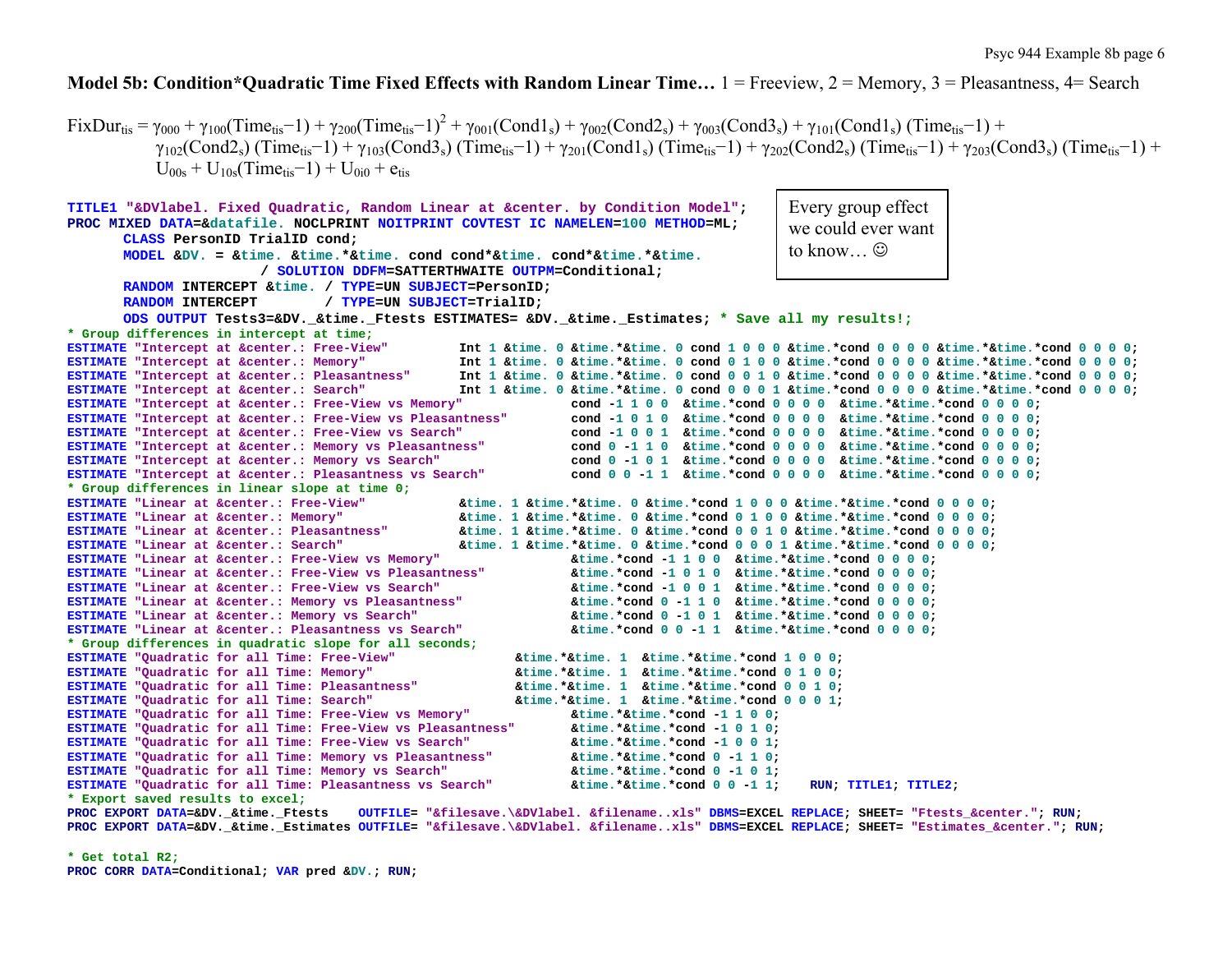## **Model 5b: Condition\*Quadratic Time Fixed Effects with Random Linear Time…** 1 = Freeview, 2 = Memory, 3 = Pleasantness, 4= Search

 $FixDur_{tis} = \gamma_{000} + \gamma_{100}(Time_{tis}-1) + \gamma_{200}(Time_{tis}-1)^2 + \gamma_{001}(Cond1_s) + \gamma_{002}(Cond2_s) + \gamma_{003}(Cond3_s) + \gamma_{101}(Cond1_s) (Time_{tis}-1) +$  $\gamma_{102}(Cond2_s)$  (Time<sub>tis</sub>-1) +  $\gamma_{103}(Cond3_s)$  (Time<sub>tis</sub>-1) +  $\gamma_{201}(Cond1_s)$  (Time<sub>tis</sub>-1) +  $\gamma_{202}(Cond2_s)$  (Time<sub>tis</sub>-1) +  $\gamma_{203}(Cond3_s)$  (Time<sub>tis</sub>-1) +  $U_{00s} + U_{10s}$ (Time<sub>tis</sub>–1) + U<sub>0i0</sub> + e<sub>tis</sub>

```
TITLE1 "&DVlabel. Fixed Quadratic, Random Linear at &center. by Condition Model"; 
PROC MIXED DATA=&datafile. NOCLPRINT NOITPRINT COVTEST IC NAMELEN=100 METHOD=ML; 
        CLASS PersonID TrialID cond; 
        MODEL &DV. = &time. &time.*&time. cond cond*&time. cond*&time.*&time. / SOLUTION DDFM=SATTERTHWAITE OUTPM=Conditional; 
        RANDOM INTERCEPT &time. / TYPE=UN SUBJECT=PersonID; 
        RANDOM INTERCEPT / TYPE=UN SUBJECT=TrialID; 
         ODS OUTPUT Tests3=&DV._&time._Ftests ESTIMATES= &DV._&time._Estimates; * Save all my results!;
* Group differences in intercept at time;
ESTIMATE "Intercept at &center.: Free-View"
                                                               "Intercept at &center.: Free-View" Int 1 &time. 0 &time.*&time. 0 cond 1 0 0 0 &time.*cond 0 0 0 0 &time.*&time.*cond 0 0 0 0; 
ESTIMATE "Intercept at &center.: Memory"
                                                               "Intercept at &center.: Memory" Int 1 &time. 0 &time.*&time. 0 cond 0 1 0 0 &time.*cond 0 0 0 0 &time.*&time.*cond 0 0 0 0; 
ESTIMATE "Intercept at &center.: Pleasantness"
                                                               "Intercept at &center.: Pleasantness" Int 1 &time. 0 &time.*&time. 0 cond 0 0 1 0 &time.*cond 0 0 0 0 &time.*&time.*cond 0 0 0 0; 
ESTIMATE "Intercept at &center.: Search"
                                                              Int 1 &time. 0 &time.*&time. 0 cond 0 0 0 1 &time.*cond 0 0 0 0 &time.*&time.*cond 0 0 0 0;
ESTIMATE "Intercept at &center.: Free-View vs Memory"
                                                                                "Intercept at &center.: Free-View vs Memory" cond -1 1 0 0 &time.*cond 0 0 0 0 &time.*&time.*cond 0 0 0 0; 
ESTIMATE "Intercept at &center.: Free-View vs Pleasantness"
                                                                                 "Intercept at &center.: Free-View vs Pleasantness" cond -1 0 1 0 &time.*cond 0 0 0 0 &time.*&time.*cond 0 0 0 0; 
ESTIMATE "Intercept at &center.: Free-View vs Search"
                                                                                "Intercept at &center.: Free-View vs Search" cond -1 0 0 1 &time.*cond 0 0 0 0 &time.*&time.*cond 0 0 0 0; 
ESTIMATE "Intercept at &center.: Memory vs Pleasantness"
                                                                                "Intercept at &center.: Memory vs Pleasantness" cond 0 -1 1 0 &time.*cond 0 0 0 0 &time.*&time.*cond 0 0 0 0; 
ESTIMATE "Intercept at &center.: Memory vs Search"
                                                                                "Intercept at &center.: Memory vs Search" cond 0 -1 0 1 &time.*cond 0 0 0 0 &time.*&time.*cond 0 0 0 0; 
ESTIMATE "Intercept at &center.: Pleasantness vs Search"
                                                                                "Intercept at &center.: Pleasantness vs Search" cond 0 0 -1 1 &time.*cond 0 0 0 0 &time.*&time.*cond 0 0 0 0; 
* Group differences in linear slope at time 0;
ESTIMATE "Linear at &center.: Free-View"
                                                               "Linear at &center.: Free-View" &time. 1 &time.*&time. 0 &time.*cond 1 0 0 0 &time.*&time.*cond 0 0 0 0; 
ESTIMATE "Linear at &center.: Memory"
                                                               "Linear at &center.: Memory" &time. 1 &time.*&time. 0 &time.*cond 0 1 0 0 &time.*&time.*cond 0 0 0 0; 
ESTIMATE "Linear at &center.: Pleasantness"
                                                               "Linear at &center.: Pleasantness" &time. 1 &time.*&time. 0 &time.*cond 0 0 1 0 &time.*&time.*cond 0 0 0 0; 
ESTIMATE "Linear at &center.: Search"
                                                               "Linear at &center.: Search" &time. 1 &time.*&time. 0 &time.*cond 0 0 0 1 &time.*&time.*cond 0 0 0 0; 
ESTIMATE "Linear at &center.: Free-View vs Memory"
                                                                                "Linear at &center.: Free-View vs Memory" &time.*cond -1 1 0 0 &time.*&time.*cond 0 0 0 0; 
ESTIMATE "Linear at &center.: Free-View vs Pleasantness"
                                                                                "Linear at &center.: Free-View vs Pleasantness" &time.*cond -1 0 1 0 &time.*&time.*cond 0 0 0 0; 
ESTIMATE "Linear at &center.: Free-View vs Search"
                                                                                "Linear at &center.: Free-View vs Search" &time.*cond -1 0 0 1 &time.*&time.*cond 0 0 0 0; 
ESTIMATE "Linear at &center.: Memory vs Pleasantness"
                                                                                "Linear at &center.: Memory vs Pleasantness" &time.*cond 0 -1 1 0 &time.*&time.*cond 0 0 0 0; 
ESTIMATE "Linear at &center.: Memory vs Search"
                                                                                 "Linear at &center.: Memory vs Search" &time.*cond 0 -1 0 1 &time.*&time.*cond 0 0 0 0; 
ESTIMATE "Linear at &center.: Pleasantness vs Search" &time.*cond 0 0 -1 1 &time.*&time.*cond 0 0 0 0; 
* Group differences in quadratic slope for all seconds;
ESTIMATE "Ouadratic for all Time: Free-View"
                                                                        "Quadratic for all Time: Free-View" &time.*&time. 1 &time.*&time.*cond 1 0 0 0; 
ESTIMATE "Quadratic for all Time: Memory"
                                                                        "Quadratic for all Time: Memory" &time.*&time. 1 &time.*&time.*cond 0 1 0 0; 
ESTIMATE "Quadratic for all Time: Pleasantness"
                                                                        "Quadratic for all Time: Pleasantness" &time.*&time. 1 &time.*&time.*cond 0 0 1 0; 
ESTIMATE "Quadratic for all Time: Search"
                                                                        "Quadratic for all Time: Search" &time.*&time. 1 &time.*&time.*cond 0 0 0 1; 
ESTIMATE "Quadratic for all Time: Free-View vs Memory" &time.*&time.*cond -1 1 0 0; 
ESTIMATE "Quadratic for all Time: Free-View vs Pleasantness" &time.*&time.*cond -1 0 1 0; 
ESTIMATE "Quadratic for all Time: Free-View vs Search" &time.*&time.*cond -1 0 0 1; 
ESTIMATE "Quadratic for all Time: Memory vs Pleasantness" &time.*&time.*cond 0 -1 1 0; 
ESTIMATE "Quadratic for all Time: Memory vs Search" &time.*&time.*cond 0 -1 0 1; 
ESTIMATE "Quadratic for all Time: Pleasantness vs Search" &time.*&time.*cond 0 0 -1 1; RUN; TITLE1; TITLE2; 
* Export saved results to excel;
PROC EXPORT DATA=&DV. & time. Ftests
                                               EXPORT DATA=&DV._&time._Ftests OUTFILE= "&filesave.\&DVlabel. &filename..xls" DBMS=EXCEL REPLACE; SHEET= "Ftests_&center."; RUN; 
                                                                                                                  Every group effect 
                                                                                                                   we could ever want to know...\odot
```
**PROC EXPORT DATA=&DV.\_&time.\_Estimates OUTFILE= "&filesave.\&DVlabel. &filename..xls" DBMS=EXCEL REPLACE; SHEET= "Estimates\_&center."; RUN;** 

**\* Get total R2; PROC CORR DATA=Conditional; VAR pred &DV.; RUN;**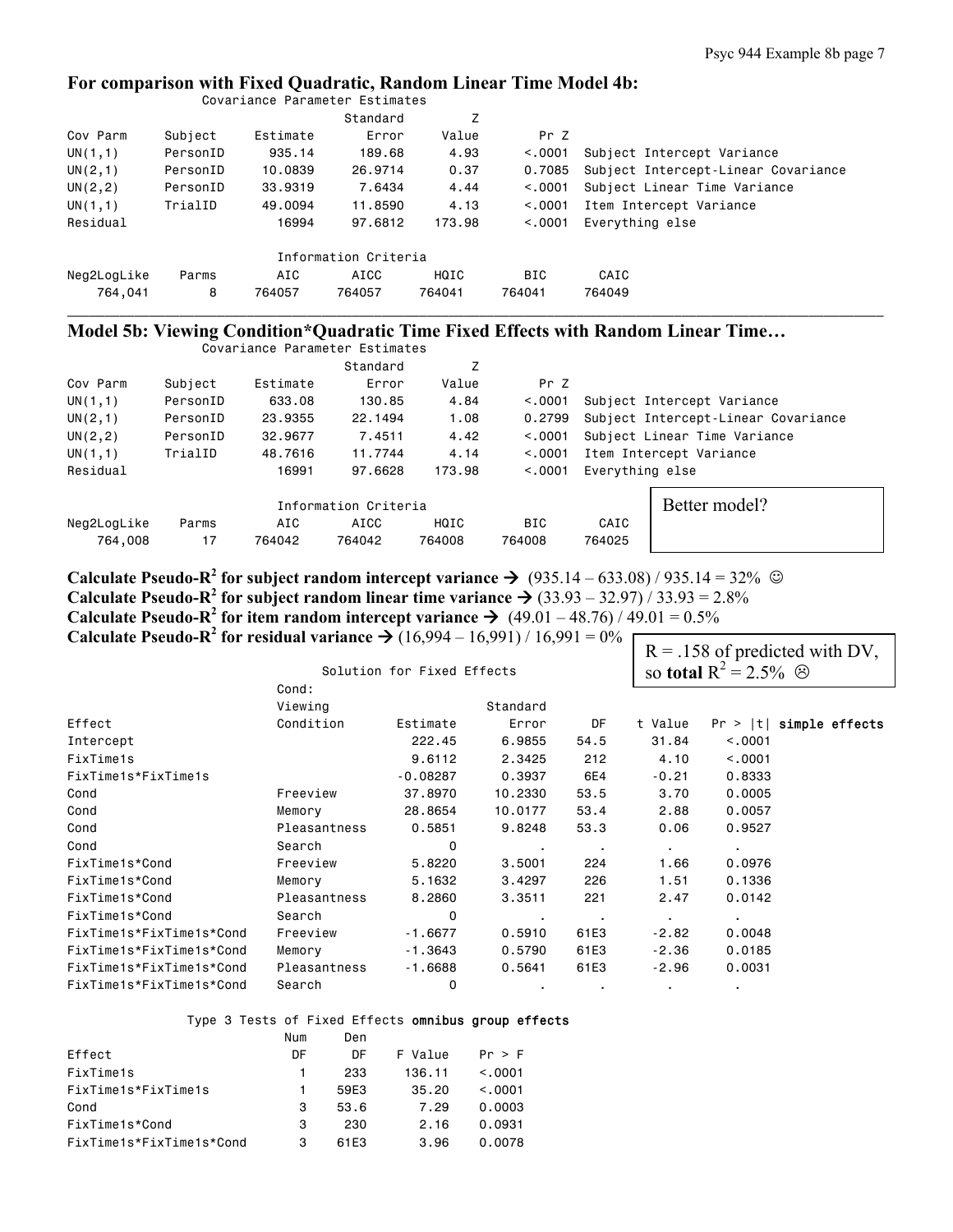# **For comparison with Fixed Quadratic, Random Linear Time Model 4b:**

|             |          | Covariance Parameter Estimates |                      |        |          |                                     |
|-------------|----------|--------------------------------|----------------------|--------|----------|-------------------------------------|
|             |          |                                | Standard             | Ζ      |          |                                     |
| Cov Parm    | Subject  | Estimate                       | Error                | Value  | Pr Z     |                                     |
| UN(1,1)     | PersonID | 935.14                         | 189,68               | 4.93   | < 0.0001 | Subject Intercept Variance          |
| UN(2,1)     | PersonID | 10,0839                        | 26,9714              | 0.37   | 0.7085   | Subject Intercept-Linear Covariance |
| UN $(2, 2)$ | PersonID | 33,9319                        | 7.6434               | 4.44   | < 0.0001 | Subject Linear Time Variance        |
| UN(1,1)     | TrialID  | 49,0094                        | 11,8590              | 4.13   | < 0.0001 | Item Intercept Variance             |
| Residual    |          | 16994                          | 97.6812              | 173.98 | < 0.001  | Everything else                     |
|             |          |                                |                      |        |          |                                     |
|             |          |                                | Information Criteria |        |          |                                     |
| Neg2LogLike | Parms    | AIC                            | AICC                 | HQIC   | BIC      | CAIC                                |
| 764.041     | 8        | 764057                         | 764057               | 764041 | 764041   | 764049                              |

### **Model 5b: Viewing Condition\*Quadratic Time Fixed Effects with Random Linear Time…**

|             |          | Covariance Parameter Estimates |                      |        |            |                 |                                     |  |  |
|-------------|----------|--------------------------------|----------------------|--------|------------|-----------------|-------------------------------------|--|--|
|             |          |                                | Standard             | Z      |            |                 |                                     |  |  |
| Cov Parm    | Subject  | Estimate                       | Error                | Value  | Pr Z       |                 |                                     |  |  |
| UN(1,1)     | PersonID | 633.08                         | 130.85               | 4.84   | < 0.0001   |                 | Subject Intercept Variance          |  |  |
| UN(2,1)     | PersonID | 23,9355                        | 22.1494              | 1.08   | 0.2799     |                 | Subject Intercept-Linear Covariance |  |  |
| UN(2, 2)    | PersonID | 32,9677                        | 7.4511               | 4.42   | < 0.0001   |                 | Subject Linear Time Variance        |  |  |
| UN(1,1)     | TrialID  | 48,7616                        | 11,7744              | 4.14   | < 0.0001   |                 | Item Intercept Variance             |  |  |
| Residual    |          | 16991                          | 97.6628              | 173.98 | < 0.001    | Everything else |                                     |  |  |
|             |          |                                | Information Criteria |        |            |                 | Better model?                       |  |  |
| Neg2LogLike | Parms    | AIC                            | AICC                 | HQIC   | <b>BIC</b> | CAIC            |                                     |  |  |
| 764,008     | 17       | 764042                         | 764042               | 764008 | 764008     | 764025          |                                     |  |  |

\_\_\_\_\_\_\_\_\_\_\_\_\_\_\_\_\_\_\_\_\_\_\_\_\_\_\_\_\_\_\_\_\_\_\_\_\_\_\_\_\_\_\_\_\_\_\_\_\_\_\_\_\_\_\_\_\_\_\_\_\_\_\_\_\_\_\_\_\_\_\_\_\_\_\_\_\_\_\_\_\_\_\_\_\_\_\_\_\_\_\_\_\_\_\_\_\_\_\_\_\_\_\_\_\_\_\_\_\_

**Calculate Pseudo-R<sup>2</sup> for subject random intercept variance**  $\rightarrow$  **(935.14 – 633.08) / 935.14 = 32%**  $\odot$ **Calculate Pseudo-R<sup>2</sup> for subject random linear time variance**  $\rightarrow$  **(33.93 – 32.97) / 33.93 = 2.8% Calculate Pseudo-R<sup>2</sup> for item random intercept variance**  $\rightarrow$  **(49.01 – 48.76) / 49.01 = 0.5% Calculate Pseudo-R<sup>2</sup> for residual variance**  $\rightarrow$  **(16,994 – 16,991) / 16,991 = 0%** 

|                          |              |                            |           |                  |                |                                        | $R = 0.158$ of predicted with DV, |
|--------------------------|--------------|----------------------------|-----------|------------------|----------------|----------------------------------------|-----------------------------------|
|                          |              | Solution for Fixed Effects |           |                  |                | so total R <sup>2</sup> = 2.5% $\odot$ |                                   |
|                          | Cond:        |                            |           |                  |                |                                        |                                   |
|                          | Viewing      |                            | Standard  |                  |                |                                        |                                   |
| Effect                   | Condition    | Estimate                   | Error     | DF               | t Value        |                                        | $Pr >  t $ simple effects         |
| Intercept                |              | 222.45                     | 6.9855    | 54.5             | 31.84          | < 0.001                                |                                   |
| FixTime1s                |              | 9.6112                     | 2.3425    | 212              | 4.10           | < .0001                                |                                   |
| FixTime1s*FixTime1s      |              | $-0.08287$                 | 0.3937    | 6E4              | $-0.21$        | 0.8333                                 |                                   |
| Cond                     | Freeview     | 37,8970                    | 10,2330   | 53.5             | 3.70           | 0.0005                                 |                                   |
| Cond                     | Memory       | 28,8654                    | 10.0177   | 53.4             | 2.88           | 0.0057                                 |                                   |
| Cond                     | Pleasantness | 0.5851                     | 9.8248    | 53.3             | 0.06           | 0.9527                                 |                                   |
| Cond                     | Search       | 0                          | $\sim$    | $\sim$ 100 $\pm$ | $\blacksquare$ | $\blacksquare$                         |                                   |
| FixTime1s*Cond           | Freeview     | 5.8220                     | 3.5001    | 224              | 1.66           | 0.0976                                 |                                   |
| FixTime1s*Cond           | Memory       | 5.1632                     | 3.4297    | 226              | 1.51           | 0.1336                                 |                                   |
| FixTime1s*Cond           | Pleasantness | 8,2860                     | 3.3511    | 221              | 2.47           | 0.0142                                 |                                   |
| FixTime1s*Cond           | Search       | 0                          | $\bullet$ | $\sim$           | $\blacksquare$ | $\blacksquare$                         |                                   |
| FixTime1s*FixTime1s*Cond | Freeview     | $-1.6677$                  | 0.5910    | 61E3             | $-2.82$        | 0.0048                                 |                                   |
| FixTime1s*FixTime1s*Cond | Memory       | $-1.3643$                  | 0.5790    | 61E3             | $-2.36$        | 0.0185                                 |                                   |
| FixTime1s*FixTime1s*Cond | Pleasantness | $-1.6688$                  | 0.5641    | 61E3             | $-2.96$        | 0.0031                                 |                                   |
| FixTime1s*FixTime1s*Cond | Search       | 0                          | $\bullet$ | $\bullet$        |                | $\bullet$                              |                                   |

# Type 3 Tests of Fixed Effects omnibus group effects

|                          | Num | Den  |         |         |
|--------------------------|-----|------|---------|---------|
| Effect                   | DΕ  | DΕ   | F Value | Pr > F  |
| FixTime1s                |     | 233  | 136.11  | < 0.001 |
| FixTime1s*FixTime1s      |     | 59F3 | 35.20   | < 0.001 |
| Cond                     | 3   | 53.6 | 7.29    | 0.0003  |
| FixTime1s*Cond           | 3   | 230  | 2.16    | 0.0931  |
| FixTime1s*FixTime1s*Cond | З   | 61F3 | 3.96    | 0.0078  |